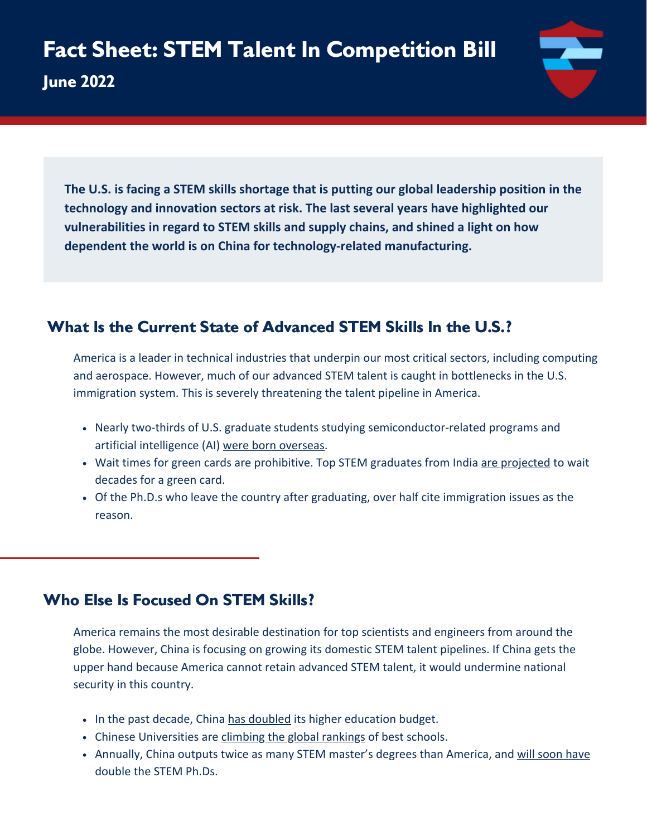**June 2022**



**The U.S. is facing a STEM skills shortage that is putting our global leadership position in the technology and innovation sectors at risk. The last several years have highlighted our vulnerabilities in regard to STEM skills and supply chains, and shined a light on how dependent the world is on China for technology-related manufacturing.**

# **What Is the Current State of Advanced STEM Skills In the U.S.?**

America is a leader in technical industries that underpin our most critical sectors, including computing and aerospace. However, much of our advanced STEM talent is caught in bottlenecks in the U.S. immigration system. This is severely threatening the talent pipeline in America.

- Nearly two-thirds of U.S. graduate students studying semiconductor-related programs and artificial intelligence (AI) [were born overseas](https://cset.georgetown.edu/publication/the-chipmakers-u-s-strengths-and-priorities-for-the-high-end-semiconductor-workforce/).
- Wait times for green cards are prohibitive. Top STEM graduates from India [are projected](https://crsreports.congress.gov/product/pdf/R/R46291) to wait decades for a green card.
- Of the Ph.D.s who leave the country after graduating, over half cite immigration issues as the reason.

## **Who Else Is Focused On STEM Skills?**

America remains the most desirable destination for top scientists and engineers from around the globe. However, China is focusing on growing its domestic STEM talent pipelines. If China gets the upper hand because America cannot retain advanced STEM talent, it would undermine national security in this country.

- In the past decade, China [has doubled](https://cset.georgetown.edu/publication/a-competitive-era-for-chinas-universities/) its higher education budget.
- Chinese Universities are [climbing the global rankings](https://www.weforum.org/agenda/2021/11/best-universities-in-the-world-by-reputation-2021/) of best schools.
- Annually, China outputs twice as many STEM master's degrees than America, and [will soon have](https://cset.georgetown.edu/wp-content/uploads/China-is-Fast-Outpacing-U.S.-STEM-PhD-Growth.pdf) double the STEM Ph.Ds.